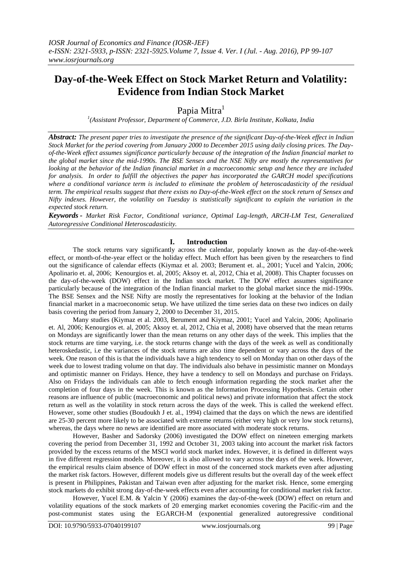# **Day-of-the-Week Effect on Stock Market Return and Volatility: Evidence from Indian Stock Market**

Papia Mitra<sup>1</sup>

*1 (Assistant Professor, Department of Commerce, J.D. Birla Institute, Kolkata, India*

*Abstract: The present paper tries to investigate the presence of the significant Day-of-the-Week effect in Indian Stock Market for the period covering from January 2000 to December 2015 using daily closing prices. The Dayof-the-Week effect assumes significance particularly because of the integration of the Indian financial market to the global market since the mid-1990s. The BSE Sensex and the NSE Nifty are mostly the representatives for looking at the behavior of the Indian financial market in a macroeconomic setup and hence they are included for analysis. In order to fulfill the objectives the paper has incorporated the GARCH model specifications where a conditional variance term is included to eliminate the problem of heteroscadasticity of the residual term. The empirical results suggest that there exists no Day-of-the-Week effect on the stock return of Sensex and Nifty indexes. However, the volatility on Tuesday is statistically significant to explain the variation in the expected stock return.*

*Keywords - Market Risk Factor, Conditional variance, Optimal Lag-length, ARCH-LM Test, Generalized Autoregressive Conditional Heteroscadasticity.*

# **I. Introduction**

The stock returns vary significantly across the calendar, popularly known as the day-of-the-week effect, or month-of-the-year effect or the holiday effect. Much effort has been given by the researchers to find out the significance of calendar effects (Kiymaz et al. 2003; Berument et. al., 2001; Yucel and Yalcin, 2006; Apolinario et. al, 2006; Kenourgios et. al, 2005; Aksoy et. al, 2012, Chia et al, 2008). This Chapter focusses on the day-of-the-week (DOW) effect in the Indian stock market. The DOW effect assumes significance particularly because of the integration of the Indian financial market to the global market since the mid-1990s. The BSE Sensex and the NSE Nifty are mostly the representatives for looking at the behavior of the Indian financial market in a macroeconomic setup. We have utilized the time series data on these two indices on daily basis covering the period from January 2, 2000 to December 31, 2015.

Many studies (Kiymaz et al. 2003, Berument and Kiymaz, 2001; Yucel and Yalcin, 2006; Apolinario et. Al, 2006; Kenourgios et. al, 2005; Aksoy et. al, 2012, Chia et al, 2008) have observed that the mean returns on Mondays are significantly lower than the mean returns on any other days of the week. This implies that the stock returns are time varying, i.e. the stock returns change with the days of the week as well as conditionally heteroskedastic, i.e the variances of the stock returns are also time dependent or vary across the days of the week. One reason of this is that the individuals have a high tendency to sell on Monday than on other days of the week due to lowest trading volume on that day. The individuals also behave in pessimistic manner on Mondays and optimistic manner on Fridays. Hence, they have a tendency to sell on Mondays and purchase on Fridays. Also on Fridays the individuals can able to fetch enough information regarding the stock market after the completion of four days in the week. This is known as the Information Processing Hypothesis. Certain other reasons are influence of public (macroeconomic and political news) and private information that affect the stock return as well as the volatility in stock return across the days of the week. This is called the weekend effect. However, some other studies (Boudoukh J et. al., 1994) claimed that the days on which the news are identified are 25-30 percent more likely to be associated with extreme returns (either very high or very low stock returns), whereas, the days where no news are identified are more associated with moderate stock returns.

However, Basher and Sadorsky (2006) investigated the DOW effect on nineteen emerging markets covering the period from December 31, 1992 and October 31, 2003 taking into account the market risk factors provided by the excess returns of the MSCI world stock market index. However, it is defined in different ways in five different regression models. Moreover, it is also allowed to vary across the days of the week. However, the empirical results claim absence of DOW effect in most of the concerned stock markets even after adjusting the market risk factors. However, different models give us different results but the overall day of the week effect is present in Philippines, Pakistan and Taiwan even after adjusting for the market risk. Hence, some emerging stock markets do exhibit strong day-of-the-week effects even after accounting for conditional market risk factor.

However, Yucel E.M. & Yalcin Y (2006) examines the day-of-the-week (DOW) effect on return and volatility equations of the stock markets of 20 emerging market economies covering the Pacific-rim and the post-communist states using the EGARCH-M (exponential generalized autoregressive conditional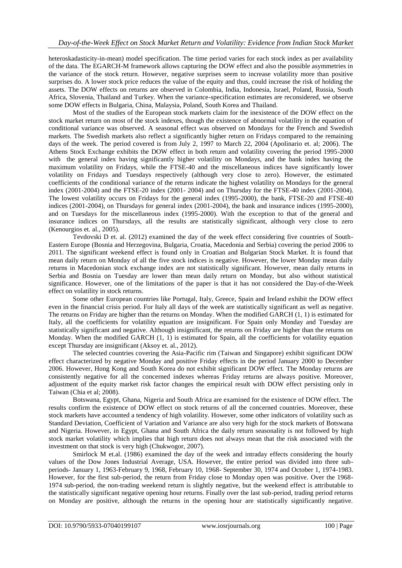heteroskadasticity-in-mean) model specification. The time period varies for each stock index as per availability of the data. The EGARCH-M framework allows capturing the DOW effect and also the possible asymmetries in the variance of the stock return. However, negative surprises seem to increase volatility more than positive surprises do. A lower stock price reduces the value of the equity and thus, could increase the risk of holding the assets. The DOW effects on returns are observed in Colombia, India, Indonesia, Israel, Poland, Russia, South Africa, Slovenia, Thailand and Turkey. When the variance-specification estimates are reconsidered, we observe some DOW effects in Bulgaria, China, Malaysia, Poland, South Korea and Thailand.

Most of the studies of the European stock markets claim for the inexistence of the DOW effect on the stock market return on most of the stock indexes, though the existence of abnormal volatility in the equation of conditional variance was observed. A seasonal effect was observed on Mondays for the French and Swedish markets. The Swedish markets also reflect a significantly higher return on Fridays compared to the remaining days of the week. The period covered is from July 2, 1997 to March 22, 2004 (Apolinario et. al; 2006). The Athens Stock Exchange exhibits the DOW effect in both return and volatility covering the period 1995-2000 with the general index having significantly higher volatility on Mondays, and the bank index having the maximum volatility on Fridays, while the FTSE-40 and the miscellaneous indices have significantly lower volatility on Fridays and Tuesdays respectively (although very close to zero). However, the estimated coefficients of the conditional variance of the returns indicate the highest volatility on Mondays for the general index (2001-2004) and the FTSE-20 index (2001- 2004) and on Thursday for the FTSE-40 index (2001-2004). The lowest volatility occurs on Fridays for the general index (1995-2000), the bank, FTSE-20 and FTSE-40 indices (2001-2004), on Thursdays for general index (2001-2004), the bank and insurance indices (1995-2000), and on Tuesdays for the miscellaneous index (1995-2000). With the exception to that of the general and insurance indices on Thursdays, all the results are statistically significant, although very close to zero (Kenourgios et. al., 2005).

Tevdovski D et. al. (2012) examined the day of the week effect considering five countries of South-Eastern Europe (Bosnia and Herzegovina, Bulgaria, Croatia, Macedonia and Serbia) covering the period 2006 to 2011. The significant weekend effect is found only in Croatian and Bulgarian Stock Market. It is found that mean daily return on Monday of all the five stock indices is negative. However, the lower Monday mean daily returns in Macedonian stock exchange index are not statistically significant. However, mean daily returns in Serbia and Bosnia on Tuesday are lower than mean daily return on Monday, but also without statistical significance. However, one of the limitations of the paper is that it has not considered the Day-of-the-Week effect on volatility in stock returns.

Some other European countries like Portugal, Italy, Greece, Spain and Ireland exhibit the DOW effect even in the financial crisis period. For Italy all days of the week are statistically significant as well as negative. The returns on Friday are higher than the returns on Monday. When the modified GARCH (1, 1) is estimated for Italy, all the coefficients for volatility equation are insignificant. For Spain only Monday and Tuesday are statistically significant and negative. Although insignificant, the returns on Friday are higher than the returns on Monday. When the modified GARCH  $(1, 1)$  is estimated for Spain, all the coefficients for volatility equation except Thursday are insignificant (Aksoy et. al., 2012).

The selected countries covering the Asia-Pacific rim (Taiwan and Singapore) exhibit significant DOW effect characterized by negative Monday and positive Friday effects in the period January 2000 to December 2006. However, Hong Kong and South Korea do not exhibit significant DOW effect. The Monday returns are consistently negative for all the concerned indexes whereas Friday returns are always positive. Moreover, adjustment of the equity market risk factor changes the empirical result with DOW effect persisting only in Taiwan (Chia et al; 2008).

Botswana, Egypt, Ghana, Nigeria and South Africa are examined for the existence of DOW effect. The results confirm the existence of DOW effect on stock returns of all the concerned countries. Moreover, these stock markets have accounted a tendency of high volatility. However, some other indicators of volatility such as Standard Deviation, Coefficient of Variation and Variance are also very high for the stock markets of Botswana and Nigeria. However, in Egypt, Ghana and South Africa the daily return seasonality is not followed by high stock market volatility which implies that high return does not always mean that the risk associated with the investment on that stock is very high (Chukwogor, 2007).

Smirlock M et.al. (1986) examined the day of the week and intraday effects considering the hourly values of the Dow Jones Industrial Average, USA. However, the entire period was divided into three subperiods- January 1, 1963-February 9, 1968, February 10, 1968- September 30, 1974 and October 1, 1974-1983. However, for the first sub-period, the return from Friday close to Monday open was positive. Over the 1968- 1974 sub-period, the non-trading weekend return is slightly negative, but the weekend effect is attributable to the statistically significant negative opening hour returns. Finally over the last sub-period, trading period returns on Monday are positive, although the returns in the opening hour are statistically significantly negative.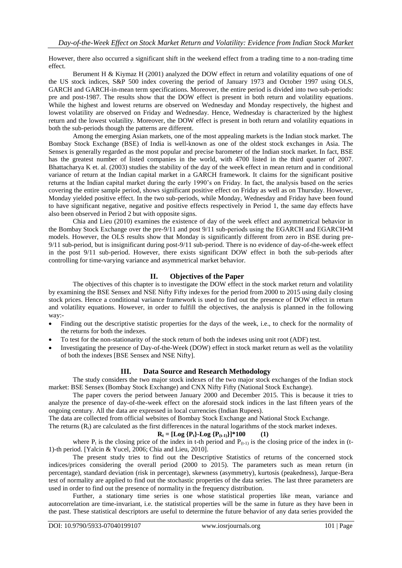However, there also occurred a significant shift in the weekend effect from a trading time to a non-trading time effect.

Berument H & Kiymaz H (2001) analyzed the DOW effect in return and volatility equations of one of the US stock indices, S&P 500 index covering the period of January 1973 and October 1997 using OLS, GARCH and GARCH-in-mean term specifications. Moreover, the entire period is divided into two sub-periods: pre and post-1987. The results show that the DOW effect is present in both return and volatility equations. While the highest and lowest returns are observed on Wednesday and Monday respectively, the highest and lowest volatility are observed on Friday and Wednesday. Hence, Wednesday is characterized by the highest return and the lowest volatility. Moreover, the DOW effect is present in both return and volatility equations in both the sub-periods though the patterns are different.

Among the emerging Asian markets, one of the most appealing markets is the Indian stock market. The Bombay Stock Exchange (BSE) of India is well-known as one of the oldest stock exchanges in Asia. The Sensex is generally regarded as the most popular and precise barometer of the Indian stock market. In fact, BSE has the greatest number of listed companies in the world, with 4700 listed in the third quarter of 2007. Bhattacharya K et. al. (2003) studies the stability of the day of the week effect in mean return and in conditional variance of return at the Indian capital market in a GARCH framework. It claims for the significant positive returns at the Indian capital market during the early 1990's on Friday. In fact, the analysis based on the series covering the entire sample period, shows significant positive effect on Friday as well as on Thursday. However, Monday yielded positive effect. In the two sub-periods, while Monday, Wednesday and Friday have been found to have significant negative, negative and positive effects respectively in Period 1, the same day effects have also been observed in Period 2 but with opposite signs.

Chia and Lieu (2010) examines the existence of day of the week effect and asymmetrical behavior in the Bombay Stock Exchange over the pre-9/11 and post 9/11 sub-periods using the EGARCH and EGARCH•M models. However, the OLS results show that Monday is significantly different from zero in BSE during pre-9/11 sub-period, but is insignificant during post-9/11 sub-period. There is no evidence of day-of-the-week effect in the post 9/11 sub-period. However, there exists significant DOW effect in both the sub-periods after controlling for time-varying variance and asymmetrical market behavior.

# **II. Objectives of the Paper**

The objectives of this chapter is to investigate the DOW effect in the stock market return and volatility by examining the BSE Sensex and NSE Nifty Fifty indexes for the period from 2000 to 2015 using daily closing stock prices. Hence a conditional variance framework is used to find out the presence of DOW effect in return and volatility equations. However, in order to fulfill the objectives, the analysis is planned in the following way:-

- Finding out the descriptive statistic properties for the days of the week, i.e., to check for the normality of the returns for both the indexes.
- To test for the non-stationarity of the stock return of both the indexes using unit root (ADF) test.
- Investigating the presence of Day-of-the-Week (DOW) effect in stock market return as well as the volatility of both the indexes [BSE Sensex and NSE Nifty].

# **III. Data Source and Research Methodology**

The study considers the two major stock indexes of the two major stock exchanges of the Indian stock market: BSE Sensex (Bombay Stock Exchange) and CNX Nifty Fifty (National Stock Exchange).

The paper covers the period between January 2000 and December 2015. This is because it tries to analyze the presence of day-of-the-week effect on the aforesaid stock indices in the last fifteen years of the ongoing century. All the data are expressed in local currencies (Indian Rupees).

The data are collected from official websites of Bombay Stock Exchange and National Stock Exchange.

The returns  $(R<sub>i</sub>)$  are calculated as the first differences in the natural logarithms of the stock market indexes.

#### $R_t = [Log {P_t} - Log {P_{(t-1)}}]^{*}100$  (1)

where  $P_t$  is the closing price of the index in t-th period and  $P_{(t-1)}$  is the closing price of the index in (t-1)-th period. [Yalcin & Yucel, 2006; Chia and Lieu, 2010].

The present study tries to find out the Descriptive Statistics of returns of the concerned stock indices/prices considering the overall period (2000 to 2015). The parameters such as mean return (in percentage), standard deviation (risk in percentage), skewness (asymmetry), kurtosis (peakedness), Jarque-Bera test of normality are applied to find out the stochastic properties of the data series. The last three parameters are used in order to find out the presence of normality in the frequency distribution.

Further, a stationary time series is one whose statistical properties like mean, variance and autocorrelation are time-invariant, i.e. the statistical properties will be the same in future as they have been in the past. These statistical descriptors are useful to determine the future behavior of any data series provided the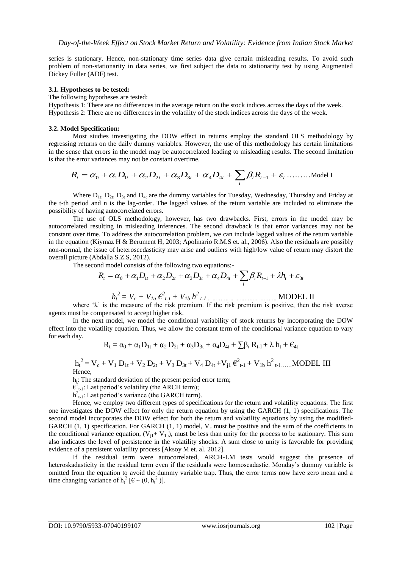series is stationary. Hence, non-stationary time series data give certain misleading results. To avoid such problem of non-stationarity in data series, we first subject the data to stationarity test by using Augmented Dickey Fuller (ADF) test.

#### **3.1. Hypotheses to be tested:**

The following hypotheses are tested:

Hypothesis 1: There are no differences in the average return on the stock indices across the days of the week. Hypothesis 2: There are no differences in the volatility of the stock indices across the days of the week.

#### **3.2. Model Specification:**

Most studies investigating the DOW effect in returns employ the standard OLS methodology by regressing returns on the daily dummy variables. However, the use of this methodology has certain limitations in the sense that errors in the model may be autocorrelated leading to misleading results. The second limitation is that the error variances may not be constant overtime.

$$
R_t = \alpha_0 + \alpha_1 D_{1t} + \alpha_2 D_{2t} + \alpha_3 D_{3t} + \alpha_4 D_{4t} + \sum_i \beta_i R_{t-1} + \varepsilon_t \dots \dots \dots \dots \text{Model I}
$$

Where  $D_{1t}$ ,  $D_{2t}$ ,  $D_{3t}$  and  $D_{4t}$  are the dummy variables for Tuesday, Wednesday, Thursday and Friday at the t-th period and n is the lag-order. The lagged values of the return variable are included to eliminate the possibility of having autocorrelated errors.

The use of OLS methodology, however, has two drawbacks. First, errors in the model may be autocorrelated resulting in misleading inferences. The second drawback is that error variances may not be constant over time. To address the autocorrelation problem, we can include lagged values of the return variable in the equation (Kiymaz H & Berument H, 2003; Apolinario R.M.S et. al., 2006). Also the residuals are possibly non-normal, the issue of heteroscedasticity may arise and outliers with high/low value of return may distort the overall picture (Abdalla S.Z.S, 2012).

The second model consists of the following two equations:-

$$
R_{t} = \alpha_{0} + \alpha_{1}D_{1t} + \alpha_{2}D_{2t} + \alpha_{3}D_{3t} + \alpha_{4}D_{4t} + \sum_{i} \beta_{i}R_{t-1} + \lambda h_{t} + \varepsilon_{3t}
$$

$$
h_t^2 = V_c + V_{1a} \epsilon_{t-1}^2 + V_{1b} h_{t-1}^2
$$

where  $\lambda$  is the measure of the risk premium. If the risk premium is positive, then the risk averse agents must be compensated to accept higher risk.

In the next model, we model the conditional variability of stock returns by incorporating the DOW effect into the volatility equation. Thus, we allow the constant term of the conditional variance equation to vary for each day.

$$
R_t = \alpha_0 + \alpha_1 D_{1t} + \alpha_2 D_{2t} + \alpha_3 D_{3t} + \alpha_4 D_{4t} + \textstyle{\sum} \beta_i R_{t\text{-}I} + \lambda\ h_t + \textstyle{\varepsilon_{4t}}
$$

$$
{h_t}^2 = {V_c} + {V_1}\,D_{1t} + {V_2}\,D_{2t} + {V_3}\,D_{3t} + {V_4}\,D_{4t} + {V_{j1}}\,{\boldsymbol \varepsilon}^2_{t\text{-}1} + {V_{1b}}\,{\boldsymbol h}^2_{t\text{-}1,\dots,\text{MODEL III}}
$$
 Hence,

h<sub>t</sub>: The standard deviation of the present period error term;

 $\epsilon_{t-1}^2$ : Last period's volatility (the ARCH term);

 $h^2_{t-1}$ : Last period's variance (the GARCH term).

Hence, we employ two different types of specifications for the return and volatility equations. The first one investigates the DOW effect for only the return equation by using the GARCH (1, 1) specifications. The second model incorporates the DOW effect for both the return and volatility equations by using the modified-GARCH  $(1, 1)$  specification. For GARCH  $(1, 1)$  model,  $V_c$  must be positive and the sum of the coefficients in the conditional variance equation,  $(V_{i1} + V_{1b})$ , must be less than unity for the process to be stationary. This sum also indicates the level of persistence in the volatility shocks. A sum close to unity is favorable for providing evidence of a persistent volatility process [Aksoy M et. al. 2012].

If the residual term were autocorrelated, ARCH-LM tests would suggest the presence of heteroskadasticity in the residual term even if the residuals were homoscadastic. Monday's dummy variable is omitted from the equation to avoid the dummy variable trap. Thus, the error terms now have zero mean and a time changing variance of  $h_t^2$  [ $\epsilon \sim (0, h_t^2)$ ].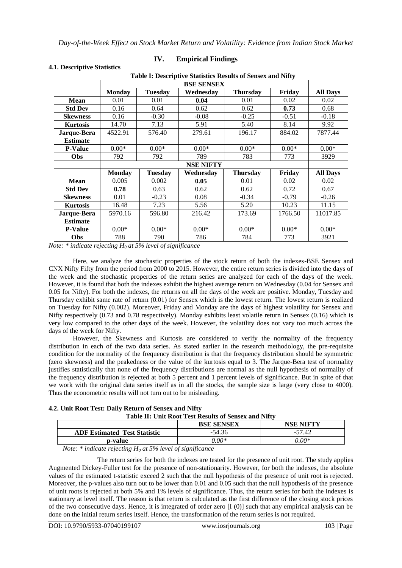**Table I: Descriptive Statistics Results of Sensex and Nifty**

| Table 1: Descriptive Statistics Results of Sellsex and Nifty |               |                |                   |                 |         |                 |
|--------------------------------------------------------------|---------------|----------------|-------------------|-----------------|---------|-----------------|
|                                                              |               |                | <b>BSE SENSEX</b> |                 |         |                 |
|                                                              | <b>Monday</b> | <b>Tuesday</b> | Wednesday         | <b>Thursday</b> | Friday  | <b>All Days</b> |
| Mean                                                         | 0.01          | 0.01           | 0.04              | 0.01            | 0.02    | 0.02            |
| <b>Std Dev</b>                                               | 0.16          | 0.64           | 0.62              | 0.62            | 0.73    | 0.68            |
| <b>Skewness</b>                                              | 0.16          | $-0.30$        | $-0.08$           | $-0.25$         | $-0.51$ | $-0.18$         |
| <b>Kurtosis</b>                                              | 14.70         | 7.13           | 5.91              | 5.40            | 8.14    | 9.92            |
| Jarque-Bera                                                  | 4522.91       | 576.40         | 279.61            | 196.17          | 884.02  | 7877.44         |
| <b>Estimate</b>                                              |               |                |                   |                 |         |                 |
| <b>P-Value</b>                                               | $0.00*$       | $0.00*$        | $0.00*$           | $0.00*$         | $0.00*$ | $0.00*$         |
| <b>Obs</b>                                                   | 792           | 792            | 789               | 783             | 773     | 3929            |
|                                                              |               |                | <b>NSE NIFTY</b>  |                 |         |                 |
|                                                              | <b>Monday</b> | <b>Tuesday</b> | Wednesday         | <b>Thursday</b> | Friday  | <b>All Days</b> |
| <b>Mean</b>                                                  | 0.005         | 0.002          | 0.05              | 0.01            | 0.02    | 0.02            |
| <b>Std Dev</b>                                               | 0.78          | 0.63           | 0.62              | 0.62            | 0.72    | 0.67            |
| <b>Skewness</b>                                              | 0.01          | $-0.23$        | 0.08              | $-0.34$         | $-0.79$ | $-0.26$         |
| <b>Kurtosis</b>                                              | 16.48         | 7.23           | 5.56              | 5.20            | 10.23   | 11.15           |
| Jarque-Bera                                                  | 5970.16       | 596.80         | 216.42            | 173.69          | 1766.50 | 11017.85        |
| <b>Estimate</b>                                              |               |                |                   |                 |         |                 |
| <b>P-Value</b>                                               | $0.00*$       | $0.00*$        | $0.00*$           | $0.00*$         | $0.00*$ | $0.00*$         |
| Obs                                                          | 788           | 790            | 786               | 784             | 773     | 3921            |

# **4.1. Descriptive Statistics**

#### **IV. Empirical Findings**

*Note: \* indicate rejecting H<sup>0</sup> at 5% level of significance*

Here, we analyze the stochastic properties of the stock return of both the indexes-BSE Sensex and CNX Nifty Fifty from the period from 2000 to 2015. However, the entire return series is divided into the days of the week and the stochastic properties of the return series are analyzed for each of the days of the week. However, it is found that both the indexes exhibit the highest average return on Wednesday (0.04 for Sensex and 0.05 for Nifty). For both the indexes, the returns on all the days of the week are positive. Monday, Tuesday and Thursday exhibit same rate of return (0.01) for Sensex which is the lowest return. The lowest return is realized on Tuesday for Nifty (0.002). Moreover, Friday and Monday are the days of highest volatility for Sensex and Nifty respectively (0.73 and 0.78 respectively). Monday exhibits least volatile return in Sensex (0.16) which is very low compared to the other days of the week. However, the volatility does not vary too much across the days of the week for Nifty.

However, the Skewness and Kurtosis are considered to verify the normality of the frequency distribution in each of the two data series. As stated earlier in the research methodology, the pre-requisite condition for the normality of the frequency distribution is that the frequency distribution should be symmetric (zero skewness) and the peakedness or the value of the kurtosis equal to 3. The Jarque-Bera test of normality justifies statistically that none of the frequency distributions are normal as the null hypothesis of normality of the frequency distribution is rejected at both 5 percent and 1 percent levels of significance. But in spite of that we work with the original data series itself as in all the stocks, the sample size is large (very close to 4000). Thus the econometric results will not turn out to be misleading.

| 4.2. Unit Root Test: Daily Return of Sensex and Nifty |                                                             |
|-------------------------------------------------------|-------------------------------------------------------------|
|                                                       | <b>Table II: Unit Root Test Results of Sensex and Nifty</b> |

| Tudie III Chile Root Test Results of Schsex und Fully      |                   |           |  |
|------------------------------------------------------------|-------------------|-----------|--|
|                                                            | <b>BSE SENSEX</b> | NSE NIFTY |  |
| <b>ADF Estimated Test Statistic</b>                        | $-54.36$          | -57.42    |  |
| p-value                                                    | $0.00*$           | $0.00*$   |  |
| Motor * indicate unicoting II at 50/ Loyal of gianificance |                   |           |  |

 *Note: \* indicate rejecting H<sup>0</sup> at 5% level of significance*

The return series for both the indexes are tested for the presence of unit root. The study applies Augmented Dickey-Fuller test for the presence of non-stationarity. However, for both the indexes, the absolute values of the estimated t-statistic exceed 2 such that the null hypothesis of the presence of unit root is rejected. Moreover, the p-values also turn out to be lower than 0.01 and 0.05 such that the null hypothesis of the presence of unit roots is rejected at both 5% and 1% levels of significance. Thus, the return series for both the indexes is stationary at level itself. The reason is that return is calculated as the first difference of the closing stock prices of the two consecutive days. Hence, it is integrated of order zero [I (0)] such that any empirical analysis can be done on the initial return series itself. Hence, the transformation of the return series is not required.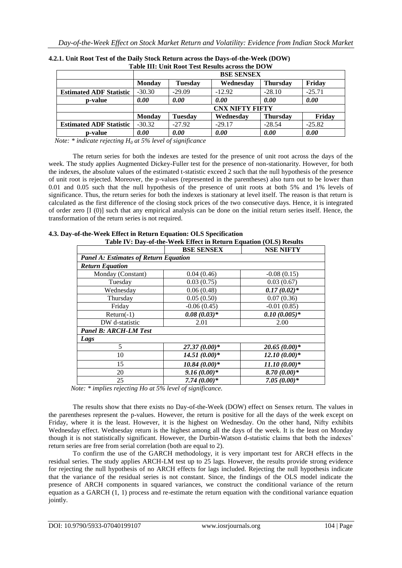| Table III. UMI KOOL TEST KESURS ACTOSS THE DU II |                        |                |           |                 |          |
|--------------------------------------------------|------------------------|----------------|-----------|-----------------|----------|
|                                                  | <b>BSE SENSEX</b>      |                |           |                 |          |
|                                                  | <b>Monday</b>          | <b>Tuesday</b> | Wednesday | <b>Thursday</b> | Friday   |
| <b>Estimated ADF Statistic</b>                   | $-30.30$               | $-29.09$       | $-12.92$  | $-28.10$        | $-25.71$ |
| p-value                                          | 0.00                   | 0.00           | 0.00      | 0.00            | 0.00     |
|                                                  | <b>CNX NIFTY FIFTY</b> |                |           |                 |          |
|                                                  | <b>Monday</b>          | <b>Tuesday</b> | Wednesday | <b>Thursday</b> | Friday   |
| <b>Estimated ADF Statistic</b>                   | $-30.32$               | $-27.92$       | $-29.17$  | $-28.54$        | $-25.82$ |
| p-value                                          | 0.00                   | 0.00           | 0.00      | 0.00            | 0.00     |

| 4.2.1. Unit Root Test of the Daily Stock Return across the Days-of-the-Week (DOW) |
|-----------------------------------------------------------------------------------|
| Table III: Unit Root Test Results across the DOW                                  |

 *Note: \* indicate rejecting H<sup>0</sup> at 5% level of significance*

The return series for both the indexes are tested for the presence of unit root across the days of the week. The study applies Augmented Dickey-Fuller test for the presence of non-stationarity. However, for both the indexes, the absolute values of the estimated t-statistic exceed 2 such that the null hypothesis of the presence of unit root is rejected. Moreover, the p-values (represented in the parentheses) also turn out to be lower than 0.01 and 0.05 such that the null hypothesis of the presence of unit roots at both 5% and 1% levels of significance. Thus, the return series for both the indexes is stationary at level itself. The reason is that return is calculated as the first difference of the closing stock prices of the two consecutive days. Hence, it is integrated of order zero [I (0)] such that any empirical analysis can be done on the initial return series itself. Hence, the transformation of the return series is not required.

|                                              | <b>BSE SENSEX</b> | <b>NSE NIFTY</b> |
|----------------------------------------------|-------------------|------------------|
| <b>Panel A: Estimates of Return Equation</b> |                   |                  |
| <b>Return Equation</b>                       |                   |                  |
| Monday (Constant)                            | 0.04(0.46)        | $-0.08(0.15)$    |
| Tuesday                                      | 0.03(0.75)        | 0.03(0.67)       |
| Wednesday                                    | 0.06(0.48)        | $0.17(0.02)*$    |
| Thursday                                     | 0.05(0.50)        | 0.07(0.36)       |
| Friday                                       | $-0.06(0.45)$     | $-0.01(0.85)$    |
| $Return(-1)$                                 | $0.08(0.03)*$     | $0.10(0.005)*$   |
| DW d-statistic                               | 2.01              | 2.00             |
| <b>Panel B: ARCH-LM Test</b>                 |                   |                  |
| Lags                                         |                   |                  |
| 5                                            | $27.37(0.00)*$    | $20.65(0.00)*$   |
| 10                                           | $14.51(0.00)*$    | $12.10(0.00)*$   |
| 15                                           | $10.84(0.00)*$    | $11.10(0.00)*$   |
| 20                                           | $9.16(0.00)*$     | $8.70(0.00)*$    |
| 25                                           | $7.74(0.00)*$     | $7.05(0.00)*$    |

**4.3. Day-of-the-Week Effect in Return Equation: OLS Specification Table IV: Day-of-the-Week Effect in Return Equation (OLS) Results**

 *Note: \* implies rejecting Ho at 5% level of significance.* 

The results show that there exists no Day-of-the-Week (DOW) effect on Sensex return. The values in the parentheses represent the p-values. However, the return is positive for all the days of the week except on Friday, where it is the least. However, it is the highest on Wednesday. On the other hand, Nifty exhibits Wednesday effect. Wednesday return is the highest among all the days of the week. It is the least on Monday though it is not statistically significant. However, the Durbin-Watson d-statistic claims that both the indexes' return series are free from serial correlation (both are equal to 2).

To confirm the use of the GARCH methodology, it is very important test for ARCH effects in the residual series. The study applies ARCH-LM test up to 25 lags. However, the results provide strong evidence for rejecting the null hypothesis of no ARCH effects for lags included. Rejecting the null hypothesis indicate that the variance of the residual series is not constant. Since, the findings of the OLS model indicate the presence of ARCH components in squared variances, we construct the conditional variance of the return equation as a GARCH (1, 1) process and re-estimate the return equation with the conditional variance equation jointly.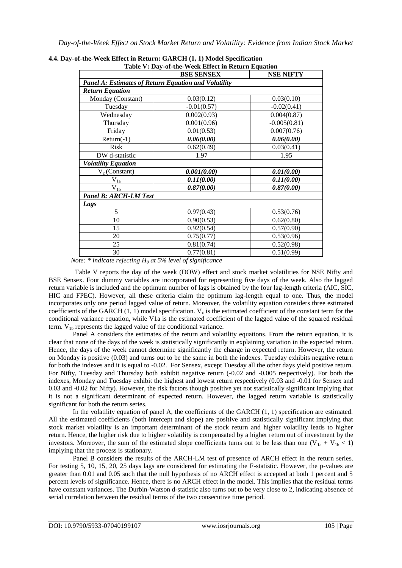|                                                             | <b>BSE SENSEX</b> | <b>NSE NIFTY</b> |
|-------------------------------------------------------------|-------------------|------------------|
| <b>Panel A: Estimates of Return Equation and Volatility</b> |                   |                  |
| <b>Return Equation</b>                                      |                   |                  |
| Monday (Constant)                                           | 0.03(0.12)        | 0.03(0.10)       |
| Tuesday                                                     | $-0.01(0.57)$     | $-0.02(0.41)$    |
| Wednesday                                                   | 0.002(0.93)       | 0.004(0.87)      |
| Thursday                                                    | 0.001(0.96)       | $-0.005(0.81)$   |
| Friday                                                      | 0.01(0.53)        | 0.007(0.76)      |
| $Return(-1)$                                                | 0.06(0.00)        | 0.06(0.00)       |
| Risk                                                        | 0.62(0.49)        | 0.03(0.41)       |
| DW d-statistic                                              | 1.97              | 1.95             |
| <b>Volatility Equation</b>                                  |                   |                  |
| $V_c$ (Constant)                                            | 0.001(0.00)       | 0.01(0.00)       |
| $V_{1a}$                                                    | 0.11(0.00)        | 0.11(0.00)       |
| $V_{l\underline{b}}$                                        | 0.87(0.00)        | 0.87(0.00)       |
| <b>Panel B: ARCH-LM Test</b>                                |                   |                  |
| Lags                                                        |                   |                  |
| 5                                                           | 0.97(0.43)        | 0.53(0.76)       |
| 10                                                          | 0.90(0.53)        | 0.62(0.80)       |
| 15                                                          | 0.92(0.54)        | 0.57(0.90)       |
| 20                                                          | 0.75(0.77)        | 0.53(0.96)       |
| 25                                                          | 0.81(0.74)        | 0.52(0.98)       |
| 30                                                          | 0.77(0.81)        | 0.51(0.99)       |

# **4.4. Day-of-the-Week Effect in Return: GARCH (1, 1) Model Specification**

 *Note: \* indicate rejecting H<sup>0</sup> at 5% level of significance*

Table V reports the day of the week (DOW) effect and stock market volatilities for NSE Nifty and BSE Sensex. Four dummy variables are incorporated for representing five days of the week. Also the lagged return variable is included and the optimum number of lags is obtained by the four lag-length criteria (AIC, SIC, HIC and FPEC). However, all these criteria claim the optimum lag-length equal to one. Thus, the model incorporates only one period lagged value of return. Moreover, the volatility equation considers three estimated coefficients of the GARCH  $(1, 1)$  model specification.  $V_c$  is the estimated coefficient of the constant term for the conditional variance equation, while V1a is the estimated coefficient of the lagged value of the squared residual term.  $V_{1b}$  represents the lagged value of the conditional variance.

Panel A considers the estimates of the return and volatility equations. From the return equation, it is clear that none of the days of the week is statistically significantly in explaining variation in the expected return. Hence, the days of the week cannot determine significantly the change in expected return. However, the return on Monday is positive (0.03) and turns out to be the same in both the indexes. Tuesday exhibits negative return for both the indexes and it is equal to -0.02. For Sensex, except Tuesday all the other days yield positive return. For Nifty, Tuesday and Thursday both exhibit negative return (-0.02 and -0.005 respectively). For both the indexes, Monday and Tuesday exhibit the highest and lowest return respectively (0.03 and -0.01 for Sensex and 0.03 and -0.02 for Nifty). However, the risk factors though positive yet not statistically significant implying that it is not a significant determinant of expected return. However, the lagged return variable is statistically significant for both the return series.

In the volatility equation of panel A, the coefficients of the GARCH (1, 1) specification are estimated. All the estimated coefficients (both intercept and slope) are positive and statistically significant implying that stock market volatility is an important determinant of the stock return and higher volatility leads to higher return. Hence, the higher risk due to higher volatility is compensated by a higher return out of investment by the investors. Moreover, the sum of the estimated slope coefficients turns out to be less than one  $(V_{1a} + V_{1b} < 1)$ implying that the process is stationary.

Panel B considers the results of the ARCH-LM test of presence of ARCH effect in the return series. For testing 5, 10, 15, 20, 25 days lags are considered for estimating the F-statistic. However, the p-values are greater than 0.01 and 0.05 such that the null hypothesis of no ARCH effect is accepted at both 1 percent and 5 percent levels of significance. Hence, there is no ARCH effect in the model. This implies that the residual terms have constant variances. The Durbin-Watson d-statistic also turns out to be very close to 2, indicating absence of serial correlation between the residual terms of the two consecutive time period.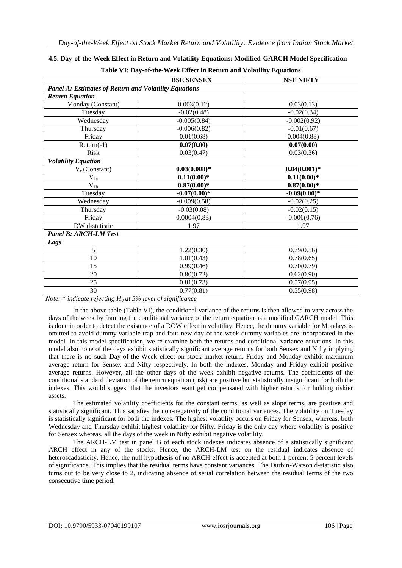|                                                              | <b>BSE SENSEX</b> | <b>NSE NIFTY</b> |  |  |
|--------------------------------------------------------------|-------------------|------------------|--|--|
| <b>Panel A: Estimates of Return and Volatility Equations</b> |                   |                  |  |  |
| <b>Return Equation</b>                                       |                   |                  |  |  |
| Monday (Constant)                                            | 0.003(0.12)       | 0.03(0.13)       |  |  |
| Tuesday                                                      | $-0.02(0.48)$     | $-0.02(0.34)$    |  |  |
| Wednesday                                                    | $-0.005(0.84)$    | $-0.002(0.92)$   |  |  |
| Thursday                                                     | $-0.006(0.82)$    | $-0.01(0.67)$    |  |  |
| Friday                                                       | 0.01(0.68)        | 0.004(0.88)      |  |  |
| $Return(-1)$                                                 | 0.07(0.00)        | 0.07(0.00)       |  |  |
| <b>Risk</b>                                                  | 0.03(0.47)        | 0.03(0.36)       |  |  |
| <b>Volatility Equation</b>                                   |                   |                  |  |  |
| $V_c$ (Constant)                                             | $0.03(0.008)*$    | $0.04(0.001)*$   |  |  |
| $V_{1a}$                                                     | $0.11(0.00)*$     | $0.11(0.00)*$    |  |  |
| $\overline{V_{1b}}$                                          | $0.87(0.00)*$     | $0.87(0.00)*$    |  |  |
| Tuesday                                                      | $-0.07(0.00)*$    | $-0.09(0.00)*$   |  |  |
| Wednesday                                                    | $-0.009(0.58)$    | $-0.02(0.25)$    |  |  |
| Thursday                                                     | $-0.03(0.08)$     | $-0.02(0.15)$    |  |  |
| Friday                                                       | 0.0004(0.83)      | $-0.006(0.76)$   |  |  |
| DW d-statistic                                               | 1.97              | 1.97             |  |  |
| <b>Panel B: ARCH-LM Test</b>                                 |                   |                  |  |  |
| Lags                                                         |                   |                  |  |  |
| 5                                                            | 1.22(0.30)        | 0.79(0.56)       |  |  |
| 10                                                           | 1.01(0.43)        | 0.78(0.65)       |  |  |
| 15                                                           | 0.99(0.46)        | 0.70(0.79)       |  |  |
| 20                                                           | 0.80(0.72)        | 0.62(0.90)       |  |  |
| 25                                                           | 0.81(0.73)        | 0.57(0.95)       |  |  |
| 30                                                           | 0.77(0.81)        | 0.55(0.98)       |  |  |

### **4.5. Day-of-the-Week Effect in Return and Volatility Equations: Modified-GARCH Model Specification**

**Table VI: Day-of-the-Week Effect in Return and Volatility Equations** 

*Note: \* indicate rejecting H<sup>0</sup> at 5% level of significance*

In the above table (Table VI), the conditional variance of the returns is then allowed to vary across the days of the week by framing the conditional variance of the return equation as a modified GARCH model. This is done in order to detect the existence of a DOW effect in volatility. Hence, the dummy variable for Mondays is omitted to avoid dummy variable trap and four new day-of-the-week dummy variables are incorporated in the model. In this model specification, we re-examine both the returns and conditional variance equations. In this model also none of the days exhibit statistically significant average returns for both Sensex and Nifty implying that there is no such Day-of-the-Week effect on stock market return. Friday and Monday exhibit maximum average return for Sensex and Nifty respectively. In both the indexes, Monday and Friday exhibit positive average returns. However, all the other days of the week exhibit negative returns. The coefficients of the conditional standard deviation of the return equation (risk) are positive but statistically insignificant for both the indexes. This would suggest that the investors want get compensated with higher returns for holding riskier assets.

The estimated volatility coefficients for the constant terms, as well as slope terms, are positive and statistically significant. This satisfies the non-negativity of the conditional variances. The volatility on Tuesday is statistically significant for both the indexes. The highest volatility occurs on Friday for Sensex, whereas, both Wednesday and Thursday exhibit highest volatility for Nifty. Friday is the only day where volatility is positive for Sensex whereas, all the days of the week in Nifty exhibit negative volatility.

The ARCH-LM test in panel B of each stock indexes indicates absence of a statistically significant ARCH effect in any of the stocks. Hence, the ARCH-LM test on the residual indicates absence of heteroscadasticity. Hence, the null hypothesis of no ARCH effect is accepted at both 1 percent 5 percent levels of significance. This implies that the residual terms have constant variances. The Durbin-Watson d-statistic also turns out to be very close to 2, indicating absence of serial correlation between the residual terms of the two consecutive time period.